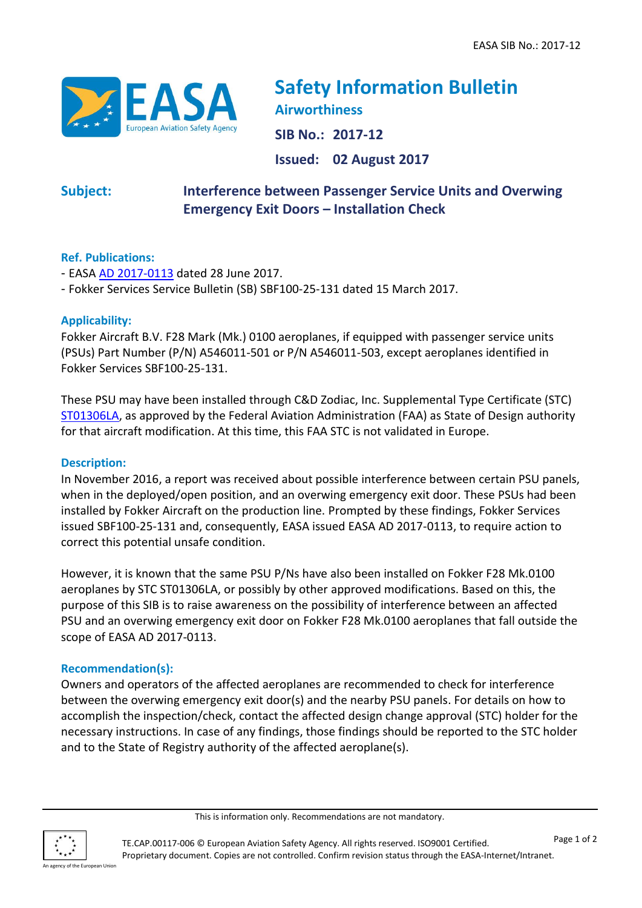

# **Safety Information Bulletin Airworthiness SIB No.: 2017-12**

**Issued: 02 August 2017**

## **Subject: Interference between Passenger Service Units and Overwing Emergency Exit Doors – Installation Check**

### **Ref. Publications:**

- EASA [AD 2017-0113](https://ad.easa.europa.eu/ad/2017-0113) dated 28 June 2017.
- Fokker Services Service Bulletin (SB) SBF100-25-131 dated 15 March 2017.

#### **Applicability:**

Fokker Aircraft B.V. F28 Mark (Mk.) 0100 aeroplanes, if equipped with passenger service units (PSUs) Part Number (P/N) A546011-501 or P/N A546011-503, except aeroplanes identified in Fokker Services SBF100-25-131.

These PSU may have been installed through C&D Zodiac, Inc. Supplemental Type Certificate (STC) [ST01306LA,](http://www.airweb.faa.gov/Regulatory_and_Guidance_Library/rgstc.nsf/0/e5676a9f61bfb9138625711f00785b2f/$FILE/ST01306LA.pdf) as approved by the Federal Aviation Administration (FAA) as State of Design authority for that aircraft modification. At this time, this FAA STC is not validated in Europe.

#### **Description:**

In November 2016, a report was received about possible interference between certain PSU panels, when in the deployed/open position, and an overwing emergency exit door. These PSUs had been installed by Fokker Aircraft on the production line. Prompted by these findings, Fokker Services issued SBF100-25-131 and, consequently, EASA issued EASA AD 2017-0113, to require action to correct this potential unsafe condition.

However, it is known that the same PSU P/Ns have also been installed on Fokker F28 Mk.0100 aeroplanes by STC ST01306LA, or possibly by other approved modifications. Based on this, the purpose of this SIB is to raise awareness on the possibility of interference between an affected PSU and an overwing emergency exit door on Fokker F28 Mk.0100 aeroplanes that fall outside the scope of EASA AD 2017-0113.

#### **Recommendation(s):**

Owners and operators of the affected aeroplanes are recommended to check for interference between the overwing emergency exit door(s) and the nearby PSU panels. For details on how to accomplish the inspection/check, contact the affected design change approval (STC) holder for the necessary instructions. In case of any findings, those findings should be reported to the STC holder and to the State of Registry authority of the affected aeroplane(s).